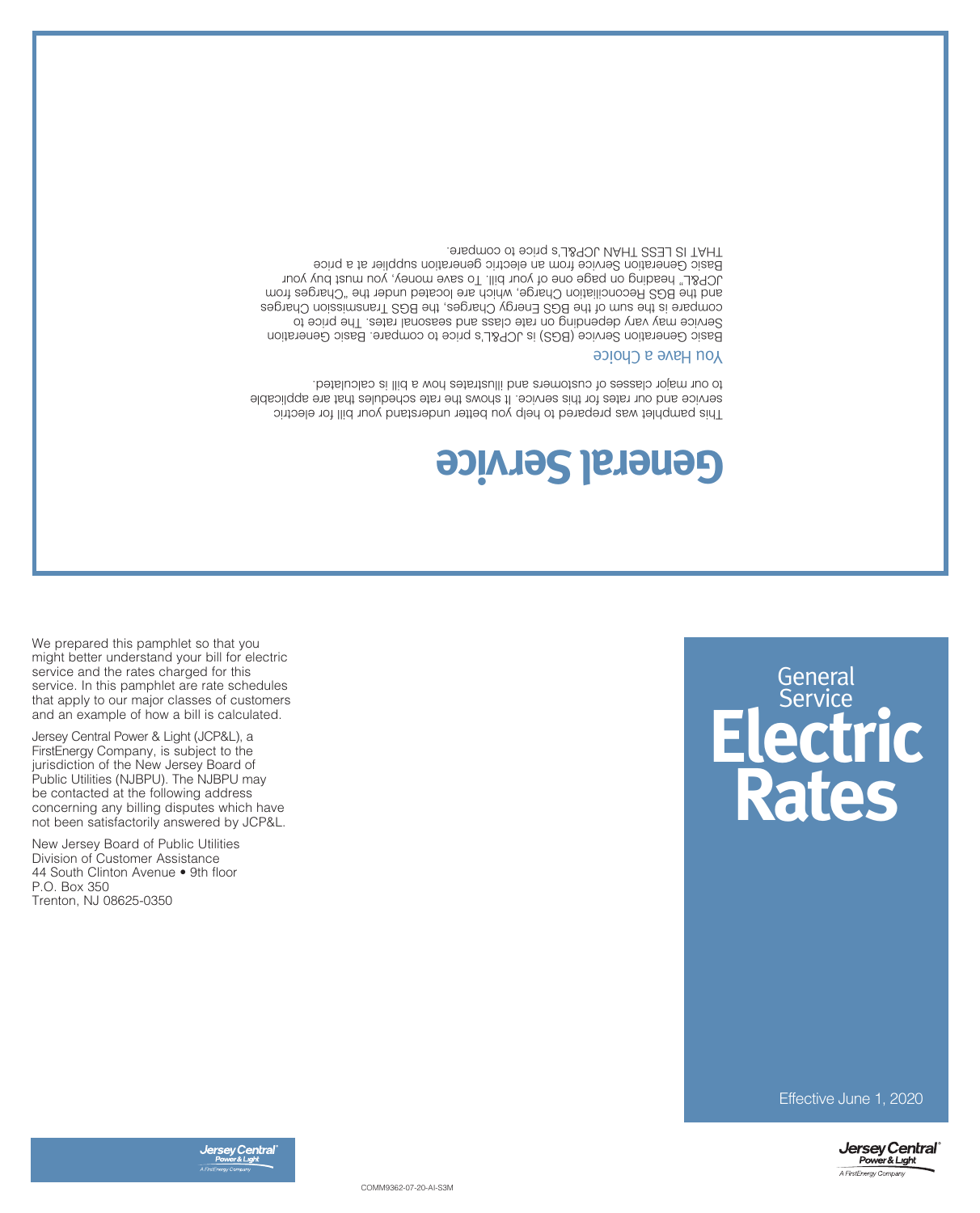

COMM9362-07-20-AI-S3M



Effective June 1, 2020

New Jersey Board of Public Utilities Division of Customer Assistance 44 South Clinton Avenue • 9th floor P.O. Box 350 Trenton, NJ 08625-0350

Jersey Central Power & Light (JCP&L), a FirstEnergy Company, is subject to the jurisdiction of the New Jersey Board of Public Utilities (NJBPU). The NJBPU may be contacted at the following address concerning any billing disputes which have not been satisfactorily answered by JCP&L.

We prepared this pamphlet so that you might better understand your bill for electric service and the rates charged for this service. In this pamphlet are rate schedules that apply to our major classes of customers and an example of how a bill is calculated.

## **Electric Rates General** Service

## **General Service**

This pamphlet was prepared to help you better understand your bill for electric service and our rates for this service. It shows the rate schedules that are applicable to our major classes of customers and illustrates how a bill is calculated.

## **boich Have a Choice**

Basic Generation Service (BGS) is JCP&L's price to compare. Basic Generation Service may vary depending on rate class and seasonal rates. The price to compare is the sum of the BGS Energy Charges, the BGS Transmission Charges and the BGS Reconciliation Charge, which are located under the "Charges from JCP&L" heading on page one of your bill. To save money, you must buy your Basic Generation Service from an electric generation supplier at a price THAT IS LESS THAN JCP&L's price to compare.